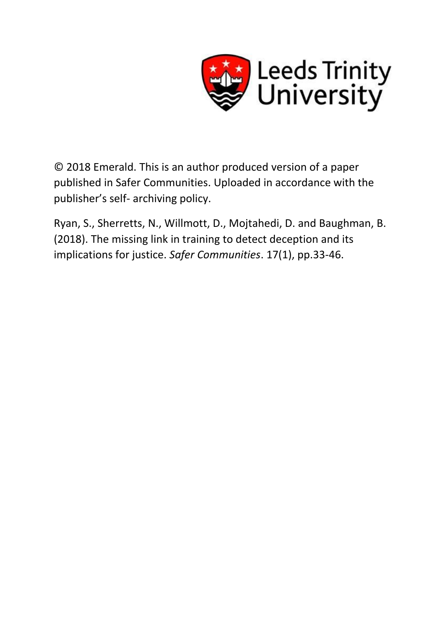

© 2018 Emerald. This is an author produced version of a paper published in Safer Communities. Uploaded in accordance with the publisher's self- archiving policy.

Ryan, S., Sherretts, N., Willmott, D., Mojtahedi, D. and Baughman, B. (2018). The missing link in training to detect deception and its implications for justice. *Safer Communities*. 17(1), pp.33-46.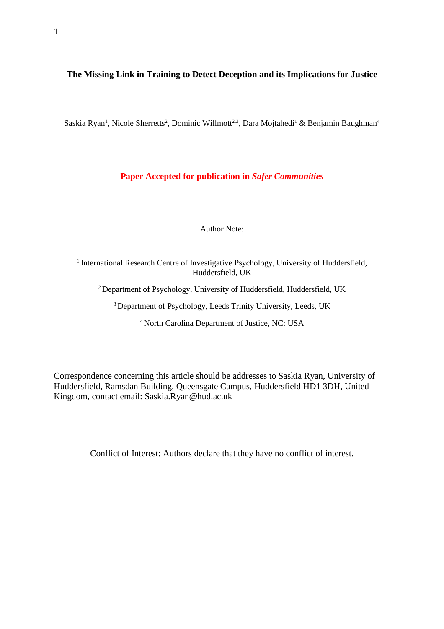# **The Missing Link in Training to Detect Deception and its Implications for Justice**

Saskia Ryan<sup>1</sup>, Nicole Sherretts<sup>2</sup>, Dominic Willmott<sup>2,3</sup>, Dara Mojtahedi<sup>1</sup> & Benjamin Baughman<sup>4</sup>

# **Paper Accepted for publication in** *Safer Communities*

Author Note:

<sup>1</sup> International Research Centre of Investigative Psychology, University of Huddersfield, Huddersfield, UK

<sup>2</sup> Department of Psychology, University of Huddersfield, Huddersfield, UK

<sup>3</sup> Department of Psychology, Leeds Trinity University, Leeds, UK

<sup>4</sup> North Carolina Department of Justice, NC: USA

Correspondence concerning this article should be addresses to Saskia Ryan, University of Huddersfield, Ramsdan Building, Queensgate Campus, Huddersfield HD1 3DH, United Kingdom, contact email: Saskia.Ryan@hud.ac.uk

Conflict of Interest: Authors declare that they have no conflict of interest.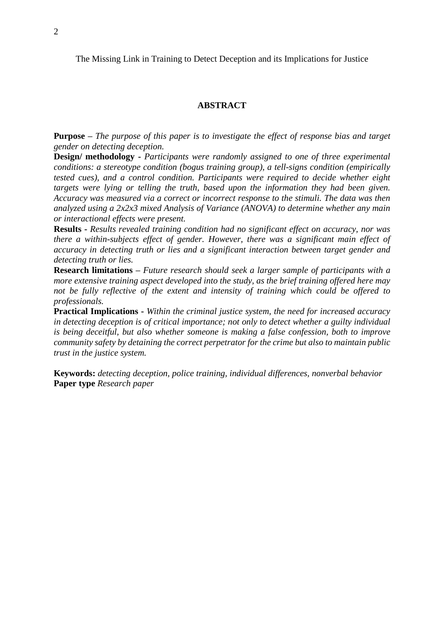The Missing Link in Training to Detect Deception and its Implications for Justice

### **ABSTRACT**

**Purpose –** *The purpose of this paper is to investigate the effect of response bias and target gender on detecting deception.*

**Design/ methodology -** *Participants were randomly assigned to one of three experimental conditions: a stereotype condition (bogus training group), a tell-signs condition (empirically tested cues), and a control condition. Participants were required to decide whether eight targets were lying or telling the truth, based upon the information they had been given. Accuracy was measured via a correct or incorrect response to the stimuli. The data was then analyzed using a 2x2x3 mixed Analysis of Variance (ANOVA) to determine whether any main or interactional effects were present.*

**Results -** *Results revealed training condition had no significant effect on accuracy, nor was there a within-subjects effect of gender. However, there was a significant main effect of accuracy in detecting truth or lies and a significant interaction between target gender and detecting truth or lies.*

**Research limitations –** *Future research should seek a larger sample of participants with a more extensive training aspect developed into the study, as the brief training offered here may not be fully reflective of the extent and intensity of training which could be offered to professionals.*

**Practical Implications -** *Within the criminal justice system, the need for increased accuracy in detecting deception is of critical importance; not only to detect whether a guilty individual is being deceitful, but also whether someone is making a false confession, both to improve community safety by detaining the correct perpetrator for the crime but also to maintain public trust in the justice system.*

**Keywords:** *detecting deception, police training, individual differences, nonverbal behavior* **Paper type** *Research paper*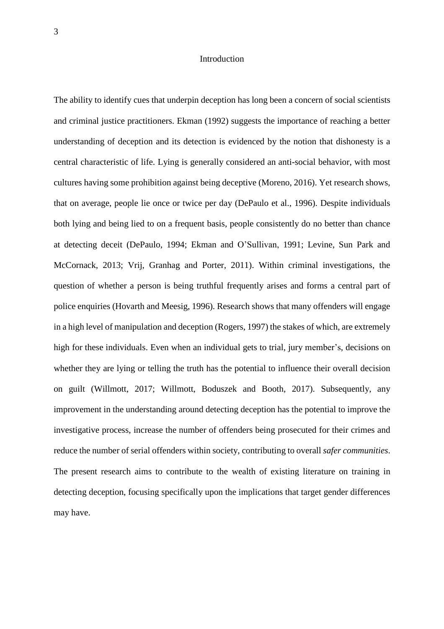#### Introduction

The ability to identify cues that underpin deception has long been a concern of social scientists and criminal justice practitioners. Ekman (1992) suggests the importance of reaching a better understanding of deception and its detection is evidenced by the notion that dishonesty is a central characteristic of life. Lying is generally considered an anti-social behavior, with most cultures having some prohibition against being deceptive (Moreno, 2016). Yet research shows, that on average, people lie once or twice per day (DePaulo et al., 1996). Despite individuals both lying and being lied to on a frequent basis, people consistently do no better than chance at detecting deceit (DePaulo, 1994; Ekman and O'Sullivan, 1991; Levine, Sun Park and McCornack, 2013; Vrij, Granhag and Porter, 2011). Within criminal investigations, the question of whether a person is being truthful frequently arises and forms a central part of police enquiries (Hovarth and Meesig, 1996). Research shows that many offenders will engage in a high level of manipulation and deception (Rogers, 1997) the stakes of which, are extremely high for these individuals. Even when an individual gets to trial, jury member's, decisions on whether they are lying or telling the truth has the potential to influence their overall decision on guilt (Willmott, 2017; Willmott, Boduszek and Booth, 2017). Subsequently, any improvement in the understanding around detecting deception has the potential to improve the investigative process, increase the number of offenders being prosecuted for their crimes and reduce the number of serial offenders within society, contributing to overall *safer communities*. The present research aims to contribute to the wealth of existing literature on training in detecting deception, focusing specifically upon the implications that target gender differences may have.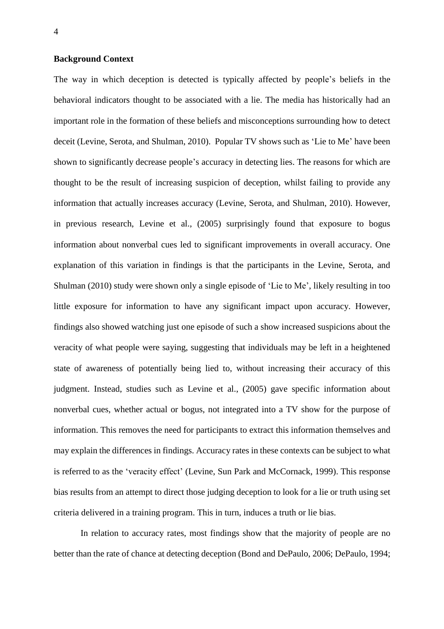### **Background Context**

The way in which deception is detected is typically affected by people's beliefs in the behavioral indicators thought to be associated with a lie. The media has historically had an important role in the formation of these beliefs and misconceptions surrounding how to detect deceit (Levine, Serota, and Shulman, 2010). Popular TV shows such as 'Lie to Me' have been shown to significantly decrease people's accuracy in detecting lies. The reasons for which are thought to be the result of increasing suspicion of deception, whilst failing to provide any information that actually increases accuracy (Levine, Serota, and Shulman, 2010). However, in previous research, Levine et al., (2005) surprisingly found that exposure to bogus information about nonverbal cues led to significant improvements in overall accuracy. One explanation of this variation in findings is that the participants in the Levine, Serota, and Shulman (2010) study were shown only a single episode of 'Lie to Me', likely resulting in too little exposure for information to have any significant impact upon accuracy. However, findings also showed watching just one episode of such a show increased suspicions about the veracity of what people were saying, suggesting that individuals may be left in a heightened state of awareness of potentially being lied to, without increasing their accuracy of this judgment. Instead, studies such as Levine et al., (2005) gave specific information about nonverbal cues, whether actual or bogus, not integrated into a TV show for the purpose of information. This removes the need for participants to extract this information themselves and may explain the differences in findings. Accuracy rates in these contexts can be subject to what is referred to as the 'veracity effect' (Levine, Sun Park and McCornack, 1999). This response bias results from an attempt to direct those judging deception to look for a lie or truth using set criteria delivered in a training program. This in turn, induces a truth or lie bias.

In relation to accuracy rates, most findings show that the majority of people are no better than the rate of chance at detecting deception (Bond and DePaulo, 2006; DePaulo, 1994;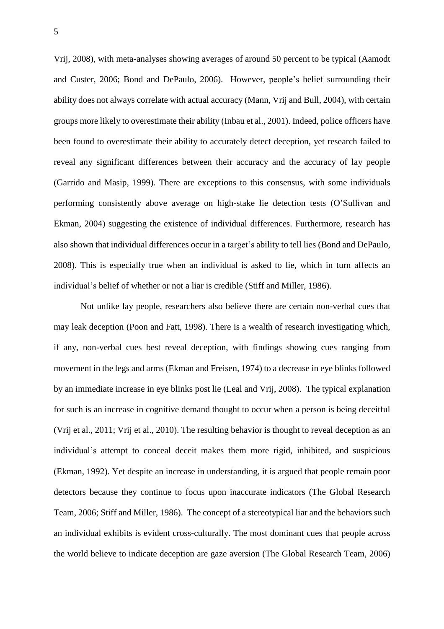Vrij, 2008), with meta-analyses showing averages of around 50 percent to be typical (Aamodt and Custer, 2006; Bond and DePaulo, 2006). However, people's belief surrounding their ability does not always correlate with actual accuracy (Mann, Vrij and Bull, 2004), with certain groups more likely to overestimate their ability (Inbau et al., 2001). Indeed, police officers have been found to overestimate their ability to accurately detect deception, yet research failed to reveal any significant differences between their accuracy and the accuracy of lay people (Garrido and Masip, 1999). There are exceptions to this consensus, with some individuals performing consistently above average on high-stake lie detection tests (O'Sullivan and Ekman, 2004) suggesting the existence of individual differences. Furthermore, research has also shown that individual differences occur in a target's ability to tell lies (Bond and DePaulo, 2008). This is especially true when an individual is asked to lie, which in turn affects an individual's belief of whether or not a liar is credible (Stiff and Miller, 1986).

Not unlike lay people, researchers also believe there are certain non-verbal cues that may leak deception (Poon and Fatt, 1998). There is a wealth of research investigating which, if any, non-verbal cues best reveal deception, with findings showing cues ranging from movement in the legs and arms (Ekman and Freisen, 1974) to a decrease in eye blinks followed by an immediate increase in eye blinks post lie (Leal and Vrij, 2008). The typical explanation for such is an increase in cognitive demand thought to occur when a person is being deceitful (Vrij et al., 2011; Vrij et al., 2010). The resulting behavior is thought to reveal deception as an individual's attempt to conceal deceit makes them more rigid, inhibited, and suspicious (Ekman, 1992). Yet despite an increase in understanding, it is argued that people remain poor detectors because they continue to focus upon inaccurate indicators (The Global Research Team, 2006; Stiff and Miller, 1986). The concept of a stereotypical liar and the behaviors such an individual exhibits is evident cross-culturally. The most dominant cues that people across the world believe to indicate deception are gaze aversion (The Global Research Team, 2006)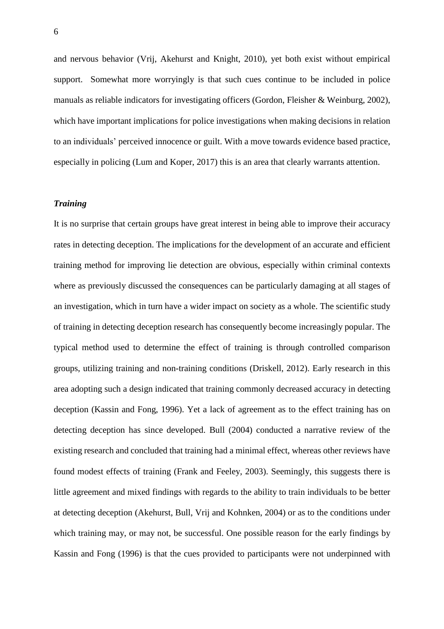and nervous behavior (Vrij, Akehurst and Knight, 2010), yet both exist without empirical support. Somewhat more worryingly is that such cues continue to be included in police manuals as reliable indicators for investigating officers (Gordon, Fleisher & Weinburg, 2002), which have important implications for police investigations when making decisions in relation to an individuals' perceived innocence or guilt. With a move towards evidence based practice, especially in policing (Lum and Koper, 2017) this is an area that clearly warrants attention.

### *Training*

It is no surprise that certain groups have great interest in being able to improve their accuracy rates in detecting deception. The implications for the development of an accurate and efficient training method for improving lie detection are obvious, especially within criminal contexts where as previously discussed the consequences can be particularly damaging at all stages of an investigation, which in turn have a wider impact on society as a whole. The scientific study of training in detecting deception research has consequently become increasingly popular. The typical method used to determine the effect of training is through controlled comparison groups, utilizing training and non-training conditions (Driskell, 2012). Early research in this area adopting such a design indicated that training commonly decreased accuracy in detecting deception (Kassin and Fong, 1996). Yet a lack of agreement as to the effect training has on detecting deception has since developed. Bull (2004) conducted a narrative review of the existing research and concluded that training had a minimal effect, whereas other reviews have found modest effects of training (Frank and Feeley, 2003). Seemingly, this suggests there is little agreement and mixed findings with regards to the ability to train individuals to be better at detecting deception (Akehurst, Bull, Vrij and Kohnken, 2004) or as to the conditions under which training may, or may not, be successful. One possible reason for the early findings by Kassin and Fong (1996) is that the cues provided to participants were not underpinned with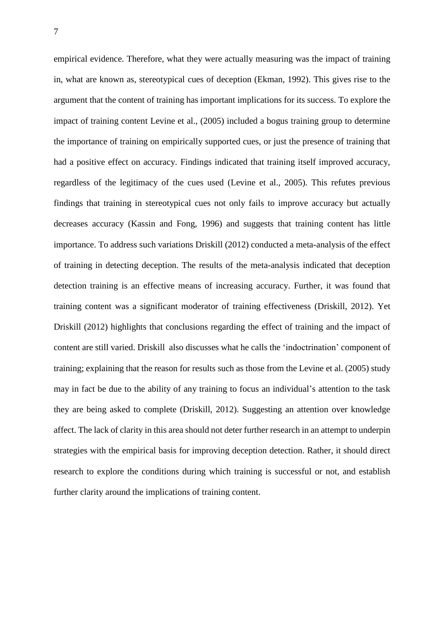empirical evidence. Therefore, what they were actually measuring was the impact of training in, what are known as, stereotypical cues of deception (Ekman, 1992). This gives rise to the argument that the content of training has important implications for its success. To explore the impact of training content Levine et al., (2005) included a bogus training group to determine the importance of training on empirically supported cues, or just the presence of training that had a positive effect on accuracy. Findings indicated that training itself improved accuracy, regardless of the legitimacy of the cues used (Levine et al., 2005). This refutes previous findings that training in stereotypical cues not only fails to improve accuracy but actually decreases accuracy (Kassin and Fong, 1996) and suggests that training content has little importance. To address such variations Driskill (2012) conducted a meta-analysis of the effect of training in detecting deception. The results of the meta-analysis indicated that deception detection training is an effective means of increasing accuracy. Further, it was found that training content was a significant moderator of training effectiveness (Driskill, 2012). Yet Driskill (2012) highlights that conclusions regarding the effect of training and the impact of content are still varied. Driskill also discusses what he calls the 'indoctrination' component of training; explaining that the reason for results such as those from the Levine et al. (2005) study may in fact be due to the ability of any training to focus an individual's attention to the task they are being asked to complete (Driskill, 2012). Suggesting an attention over knowledge affect. The lack of clarity in this area should not deter further research in an attempt to underpin strategies with the empirical basis for improving deception detection. Rather, it should direct research to explore the conditions during which training is successful or not, and establish further clarity around the implications of training content.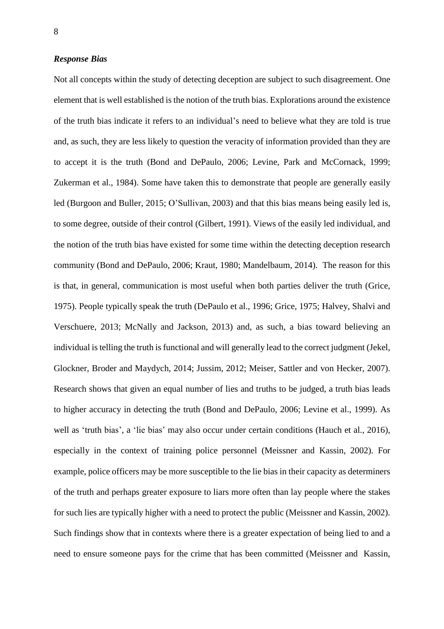### *Response Bias*

Not all concepts within the study of detecting deception are subject to such disagreement. One element that is well established is the notion of the truth bias. Explorations around the existence of the truth bias indicate it refers to an individual's need to believe what they are told is true and, as such, they are less likely to question the veracity of information provided than they are to accept it is the truth (Bond and DePaulo, 2006; Levine, Park and McCornack, 1999; Zukerman et al., 1984). Some have taken this to demonstrate that people are generally easily led (Burgoon and Buller, 2015; O'Sullivan, 2003) and that this bias means being easily led is, to some degree, outside of their control (Gilbert, 1991). Views of the easily led individual, and the notion of the truth bias have existed for some time within the detecting deception research community (Bond and DePaulo, 2006; Kraut, 1980; Mandelbaum, 2014). The reason for this is that, in general, communication is most useful when both parties deliver the truth (Grice, 1975). People typically speak the truth (DePaulo et al., 1996; Grice, 1975; Halvey, Shalvi and Verschuere, 2013; McNally and Jackson, 2013) and, as such, a bias toward believing an individual is telling the truth is functional and will generally lead to the correct judgment (Jekel, Glockner, Broder and Maydych, 2014; Jussim, 2012; Meiser, Sattler and von Hecker, 2007). Research shows that given an equal number of lies and truths to be judged, a truth bias leads to higher accuracy in detecting the truth (Bond and DePaulo, 2006; Levine et al., 1999). As well as 'truth bias', a 'lie bias' may also occur under certain conditions (Hauch et al., 2016), especially in the context of training police personnel (Meissner and Kassin, 2002). For example, police officers may be more susceptible to the lie bias in their capacity as determiners of the truth and perhaps greater exposure to liars more often than lay people where the stakes for such lies are typically higher with a need to protect the public (Meissner and Kassin, 2002). Such findings show that in contexts where there is a greater expectation of being lied to and a need to ensure someone pays for the crime that has been committed (Meissner and Kassin,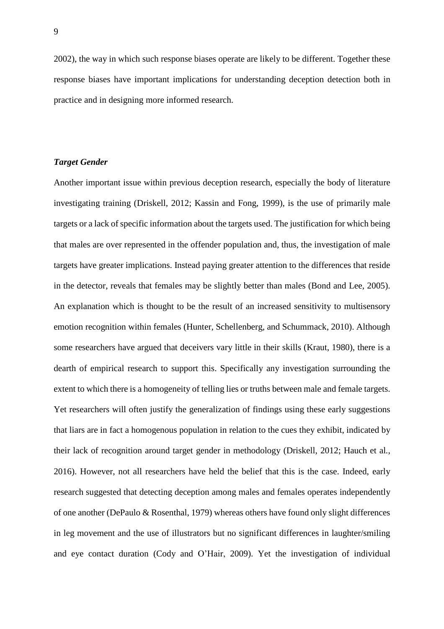2002), the way in which such response biases operate are likely to be different. Together these response biases have important implications for understanding deception detection both in practice and in designing more informed research.

# *Target Gender*

Another important issue within previous deception research, especially the body of literature investigating training (Driskell, 2012; Kassin and Fong, 1999), is the use of primarily male targets or a lack of specific information about the targets used. The justification for which being that males are over represented in the offender population and, thus, the investigation of male targets have greater implications. Instead paying greater attention to the differences that reside in the detector, reveals that females may be slightly better than males (Bond and Lee, 2005). An explanation which is thought to be the result of an increased sensitivity to multisensory emotion recognition within females (Hunter, Schellenberg, and Schummack, 2010). Although some researchers have argued that deceivers vary little in their skills (Kraut, 1980), there is a dearth of empirical research to support this. Specifically any investigation surrounding the extent to which there is a homogeneity of telling lies or truths between male and female targets. Yet researchers will often justify the generalization of findings using these early suggestions that liars are in fact a homogenous population in relation to the cues they exhibit, indicated by their lack of recognition around target gender in methodology (Driskell, 2012; Hauch et al*.*, 2016). However, not all researchers have held the belief that this is the case. Indeed, early research suggested that detecting deception among males and females operates independently of one another (DePaulo & Rosenthal, 1979) whereas others have found only slight differences in leg movement and the use of illustrators but no significant differences in laughter/smiling and eye contact duration (Cody and O'Hair, 2009). Yet the investigation of individual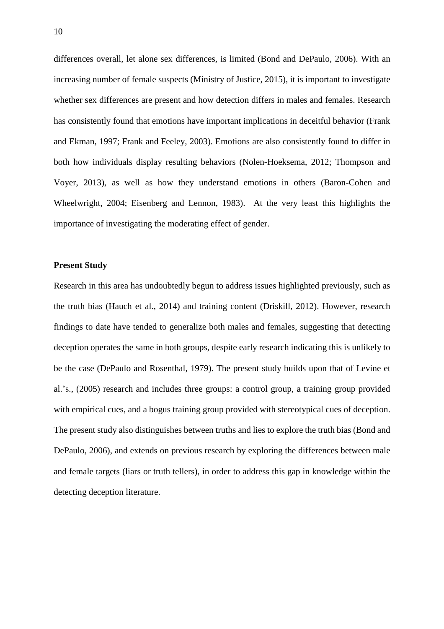differences overall, let alone sex differences, is limited (Bond and DePaulo, 2006). With an increasing number of female suspects (Ministry of Justice, 2015), it is important to investigate whether sex differences are present and how detection differs in males and females. Research has consistently found that emotions have important implications in deceitful behavior (Frank and Ekman, 1997; Frank and Feeley, 2003). Emotions are also consistently found to differ in both how individuals display resulting behaviors (Nolen-Hoeksema, 2012; Thompson and Voyer, 2013), as well as how they understand emotions in others (Baron-Cohen and Wheelwright, 2004; Eisenberg and Lennon, 1983). At the very least this highlights the importance of investigating the moderating effect of gender.

## **Present Study**

Research in this area has undoubtedly begun to address issues highlighted previously, such as the truth bias (Hauch et al., 2014) and training content (Driskill, 2012). However, research findings to date have tended to generalize both males and females, suggesting that detecting deception operates the same in both groups, despite early research indicating this is unlikely to be the case (DePaulo and Rosenthal, 1979). The present study builds upon that of Levine et al.'s., (2005) research and includes three groups: a control group, a training group provided with empirical cues, and a bogus training group provided with stereotypical cues of deception. The present study also distinguishes between truths and lies to explore the truth bias (Bond and DePaulo, 2006), and extends on previous research by exploring the differences between male and female targets (liars or truth tellers), in order to address this gap in knowledge within the detecting deception literature.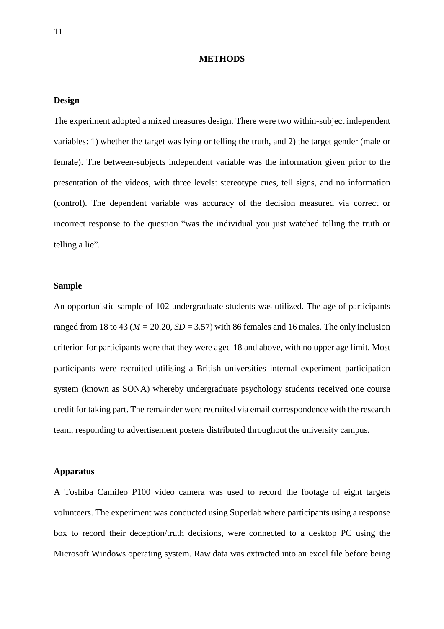#### **METHODS**

### **Design**

The experiment adopted a mixed measures design. There were two within-subject independent variables: 1) whether the target was lying or telling the truth, and 2) the target gender (male or female). The between-subjects independent variable was the information given prior to the presentation of the videos, with three levels: stereotype cues, tell signs, and no information (control). The dependent variable was accuracy of the decision measured via correct or incorrect response to the question "was the individual you just watched telling the truth or telling a lie".

### **Sample**

An opportunistic sample of 102 undergraduate students was utilized. The age of participants ranged from 18 to 43 ( $M = 20.20$ ,  $SD = 3.57$ ) with 86 females and 16 males. The only inclusion criterion for participants were that they were aged 18 and above, with no upper age limit. Most participants were recruited utilising a British universities internal experiment participation system (known as SONA) whereby undergraduate psychology students received one course credit for taking part. The remainder were recruited via email correspondence with the research team, responding to advertisement posters distributed throughout the university campus.

### **Apparatus**

A Toshiba Camileo P100 video camera was used to record the footage of eight targets volunteers. The experiment was conducted using Superlab where participants using a response box to record their deception/truth decisions, were connected to a desktop PC using the Microsoft Windows operating system. Raw data was extracted into an excel file before being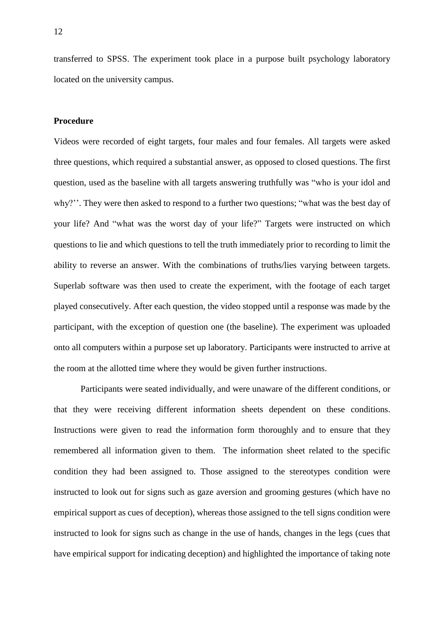transferred to SPSS. The experiment took place in a purpose built psychology laboratory located on the university campus.

# **Procedure**

Videos were recorded of eight targets, four males and four females. All targets were asked three questions, which required a substantial answer, as opposed to closed questions. The first question, used as the baseline with all targets answering truthfully was "who is your idol and why?''. They were then asked to respond to a further two questions; "what was the best day of your life? And "what was the worst day of your life?" Targets were instructed on which questions to lie and which questions to tell the truth immediately prior to recording to limit the ability to reverse an answer. With the combinations of truths/lies varying between targets. Superlab software was then used to create the experiment, with the footage of each target played consecutively. After each question, the video stopped until a response was made by the participant, with the exception of question one (the baseline). The experiment was uploaded onto all computers within a purpose set up laboratory. Participants were instructed to arrive at the room at the allotted time where they would be given further instructions.

Participants were seated individually, and were unaware of the different conditions, or that they were receiving different information sheets dependent on these conditions. Instructions were given to read the information form thoroughly and to ensure that they remembered all information given to them. The information sheet related to the specific condition they had been assigned to. Those assigned to the stereotypes condition were instructed to look out for signs such as gaze aversion and grooming gestures (which have no empirical support as cues of deception), whereas those assigned to the tell signs condition were instructed to look for signs such as change in the use of hands, changes in the legs (cues that have empirical support for indicating deception) and highlighted the importance of taking note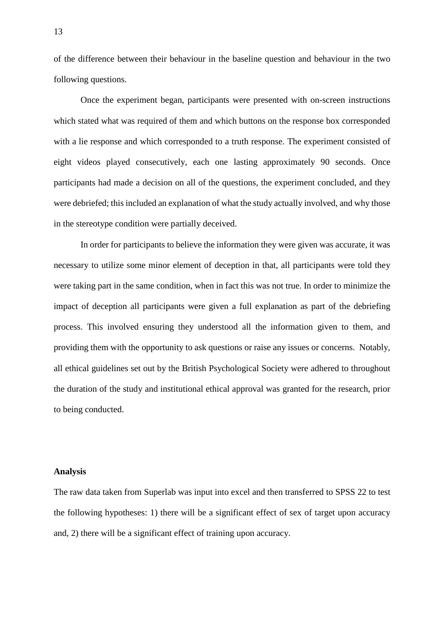of the difference between their behaviour in the baseline question and behaviour in the two following questions.

Once the experiment began, participants were presented with on-screen instructions which stated what was required of them and which buttons on the response box corresponded with a lie response and which corresponded to a truth response. The experiment consisted of eight videos played consecutively, each one lasting approximately 90 seconds. Once participants had made a decision on all of the questions, the experiment concluded, and they were debriefed; this included an explanation of what the study actually involved, and why those in the stereotype condition were partially deceived.

In order for participants to believe the information they were given was accurate, it was necessary to utilize some minor element of deception in that, all participants were told they were taking part in the same condition, when in fact this was not true. In order to minimize the impact of deception all participants were given a full explanation as part of the debriefing process. This involved ensuring they understood all the information given to them, and providing them with the opportunity to ask questions or raise any issues or concerns. Notably, all ethical guidelines set out by the British Psychological Society were adhered to throughout the duration of the study and institutional ethical approval was granted for the research, prior to being conducted.

### **Analysis**

The raw data taken from Superlab was input into excel and then transferred to SPSS 22 to test the following hypotheses: 1) there will be a significant effect of sex of target upon accuracy and, 2) there will be a significant effect of training upon accuracy.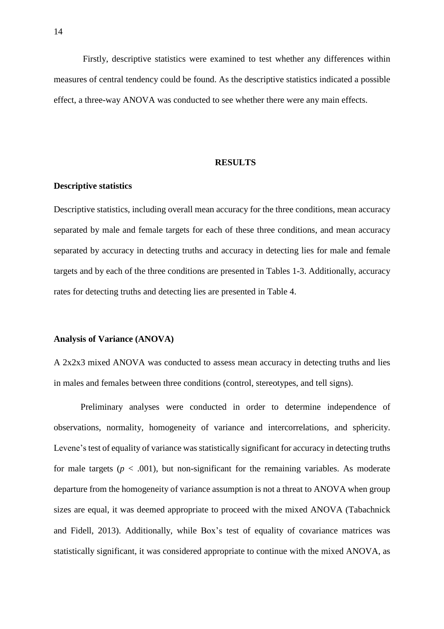Firstly, descriptive statistics were examined to test whether any differences within measures of central tendency could be found. As the descriptive statistics indicated a possible effect, a three-way ANOVA was conducted to see whether there were any main effects.

#### **RESULTS**

## **Descriptive statistics**

Descriptive statistics, including overall mean accuracy for the three conditions, mean accuracy separated by male and female targets for each of these three conditions, and mean accuracy separated by accuracy in detecting truths and accuracy in detecting lies for male and female targets and by each of the three conditions are presented in Tables 1-3. Additionally, accuracy rates for detecting truths and detecting lies are presented in Table 4.

### **Analysis of Variance (ANOVA)**

A 2x2x3 mixed ANOVA was conducted to assess mean accuracy in detecting truths and lies in males and females between three conditions (control, stereotypes, and tell signs).

Preliminary analyses were conducted in order to determine independence of observations, normality, homogeneity of variance and intercorrelations, and sphericity. Levene's test of equality of variance was statistically significant for accuracy in detecting truths for male targets ( $p < .001$ ), but non-significant for the remaining variables. As moderate departure from the homogeneity of variance assumption is not a threat to ANOVA when group sizes are equal, it was deemed appropriate to proceed with the mixed ANOVA (Tabachnick and Fidell, 2013). Additionally, while Box's test of equality of covariance matrices was statistically significant, it was considered appropriate to continue with the mixed ANOVA, as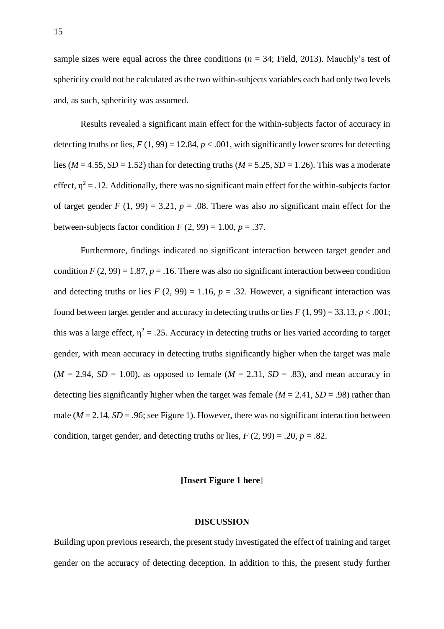sample sizes were equal across the three conditions ( $n = 34$ ; Field, 2013). Mauchly's test of sphericity could not be calculated as the two within-subjects variables each had only two levels and, as such, sphericity was assumed.

Results revealed a significant main effect for the within-subjects factor of accuracy in detecting truths or lies,  $F(1, 99) = 12.84$ ,  $p < .001$ , with significantly lower scores for detecting lies ( $M = 4.55$ ,  $SD = 1.52$ ) than for detecting truths ( $M = 5.25$ ,  $SD = 1.26$ ). This was a moderate effect,  $\eta^2 = 0.12$ . Additionally, there was no significant main effect for the within-subjects factor of target gender  $F(1, 99) = 3.21$ ,  $p = .08$ . There was also no significant main effect for the between-subjects factor condition  $F(2, 99) = 1.00$ ,  $p = .37$ .

Furthermore, findings indicated no significant interaction between target gender and condition  $F(2, 99) = 1.87$ ,  $p = .16$ . There was also no significant interaction between condition and detecting truths or lies  $F(2, 99) = 1.16$ ,  $p = .32$ . However, a significant interaction was found between target gender and accuracy in detecting truths or lies  $F(1, 99) = 33.13$ ,  $p < .001$ ; this was a large effect,  $\eta^2 = .25$ . Accuracy in detecting truths or lies varied according to target gender, with mean accuracy in detecting truths significantly higher when the target was male  $(M = 2.94, SD = 1.00)$ , as opposed to female  $(M = 2.31, SD = .83)$ , and mean accuracy in detecting lies significantly higher when the target was female ( $M = 2.41$ ,  $SD = .98$ ) rather than male ( $M = 2.14$ ,  $SD = .96$ ; see Figure 1). However, there was no significant interaction between condition, target gender, and detecting truths or lies,  $F(2, 99) = .20$ ,  $p = .82$ .

## **[Insert Figure 1 here**]

#### **DISCUSSION**

Building upon previous research, the present study investigated the effect of training and target gender on the accuracy of detecting deception. In addition to this, the present study further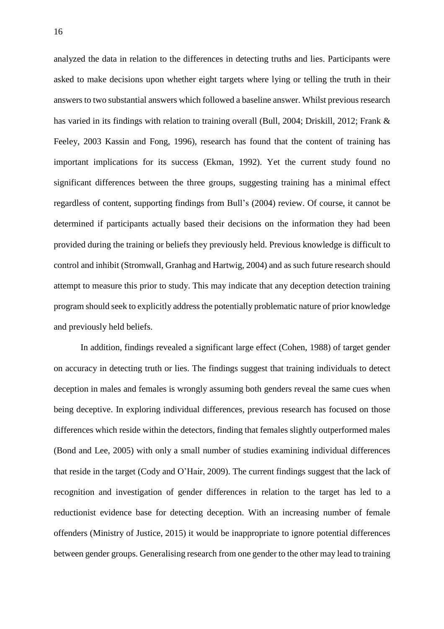analyzed the data in relation to the differences in detecting truths and lies. Participants were asked to make decisions upon whether eight targets where lying or telling the truth in their answers to two substantial answers which followed a baseline answer. Whilst previous research has varied in its findings with relation to training overall (Bull, 2004; Driskill, 2012; Frank & Feeley, 2003 Kassin and Fong, 1996), research has found that the content of training has important implications for its success (Ekman, 1992). Yet the current study found no significant differences between the three groups, suggesting training has a minimal effect regardless of content, supporting findings from Bull's (2004) review. Of course, it cannot be determined if participants actually based their decisions on the information they had been provided during the training or beliefs they previously held. Previous knowledge is difficult to control and inhibit (Stromwall, Granhag and Hartwig, 2004) and as such future research should attempt to measure this prior to study. This may indicate that any deception detection training program should seek to explicitly address the potentially problematic nature of prior knowledge and previously held beliefs.

In addition, findings revealed a significant large effect (Cohen, 1988) of target gender on accuracy in detecting truth or lies. The findings suggest that training individuals to detect deception in males and females is wrongly assuming both genders reveal the same cues when being deceptive. In exploring individual differences, previous research has focused on those differences which reside within the detectors, finding that females slightly outperformed males (Bond and Lee, 2005) with only a small number of studies examining individual differences that reside in the target (Cody and O'Hair, 2009). The current findings suggest that the lack of recognition and investigation of gender differences in relation to the target has led to a reductionist evidence base for detecting deception. With an increasing number of female offenders (Ministry of Justice, 2015) it would be inappropriate to ignore potential differences between gender groups. Generalising research from one gender to the other may lead to training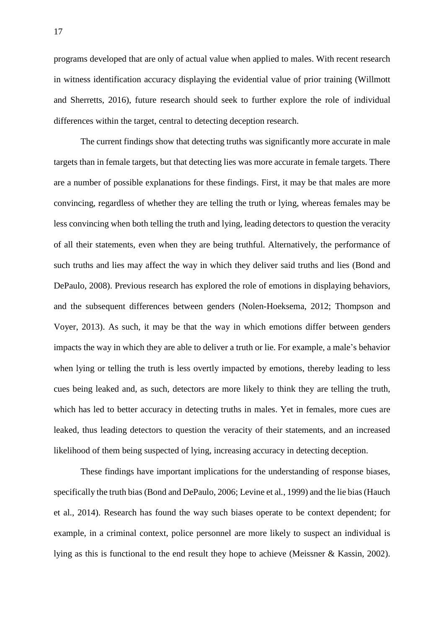programs developed that are only of actual value when applied to males. With recent research in witness identification accuracy displaying the evidential value of prior training (Willmott and Sherretts, 2016), future research should seek to further explore the role of individual differences within the target, central to detecting deception research.

The current findings show that detecting truths was significantly more accurate in male targets than in female targets, but that detecting lies was more accurate in female targets. There are a number of possible explanations for these findings. First, it may be that males are more convincing, regardless of whether they are telling the truth or lying, whereas females may be less convincing when both telling the truth and lying, leading detectors to question the veracity of all their statements, even when they are being truthful. Alternatively, the performance of such truths and lies may affect the way in which they deliver said truths and lies (Bond and DePaulo, 2008). Previous research has explored the role of emotions in displaying behaviors, and the subsequent differences between genders (Nolen-Hoeksema, 2012; Thompson and Voyer, 2013). As such, it may be that the way in which emotions differ between genders impacts the way in which they are able to deliver a truth or lie. For example, a male's behavior when lying or telling the truth is less overtly impacted by emotions, thereby leading to less cues being leaked and, as such, detectors are more likely to think they are telling the truth, which has led to better accuracy in detecting truths in males. Yet in females, more cues are leaked, thus leading detectors to question the veracity of their statements, and an increased likelihood of them being suspected of lying, increasing accuracy in detecting deception.

These findings have important implications for the understanding of response biases, specifically the truth bias (Bond and DePaulo, 2006; Levine et al*.*, 1999) and the lie bias(Hauch et al., 2014). Research has found the way such biases operate to be context dependent; for example, in a criminal context, police personnel are more likely to suspect an individual is lying as this is functional to the end result they hope to achieve (Meissner & Kassin, 2002).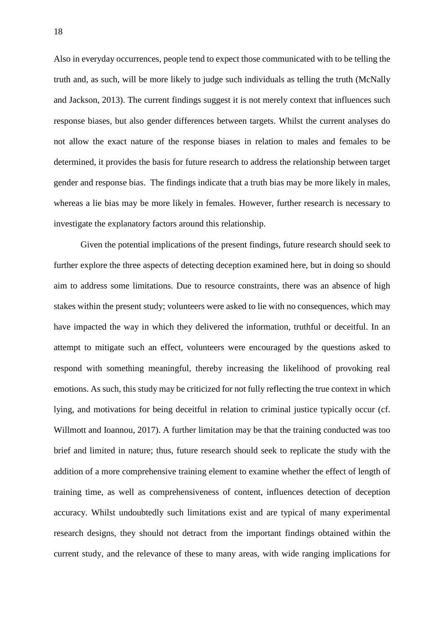Also in everyday occurrences, people tend to expect those communicated with to be telling the truth and, as such, will be more likely to judge such individuals as telling the truth (McNally and Jackson, 2013). The current findings suggest it is not merely context that influences such response biases, but also gender differences between targets. Whilst the current analyses do not allow the exact nature of the response biases in relation to males and females to be determined, it provides the basis for future research to address the relationship between target gender and response bias. The findings indicate that a truth bias may be more likely in males, whereas a lie bias may be more likely in females. However, further research is necessary to investigate the explanatory factors around this relationship.

Given the potential implications of the present findings, future research should seek to further explore the three aspects of detecting deception examined here, but in doing so should aim to address some limitations. Due to resource constraints, there was an absence of high stakes within the present study; volunteers were asked to lie with no consequences, which may have impacted the way in which they delivered the information, truthful or deceitful. In an attempt to mitigate such an effect, volunteers were encouraged by the questions asked to respond with something meaningful, thereby increasing the likelihood of provoking real emotions. As such, this study may be criticized for not fully reflecting the true context in which lying, and motivations for being deceitful in relation to criminal justice typically occur (cf. Willmott and Ioannou, 2017). A further limitation may be that the training conducted was too brief and limited in nature; thus, future research should seek to replicate the study with the addition of a more comprehensive training element to examine whether the effect of length of training time, as well as comprehensiveness of content, influences detection of deception accuracy. Whilst undoubtedly such limitations exist and are typical of many experimental research designs, they should not detract from the important findings obtained within the current study, and the relevance of these to many areas, with wide ranging implications for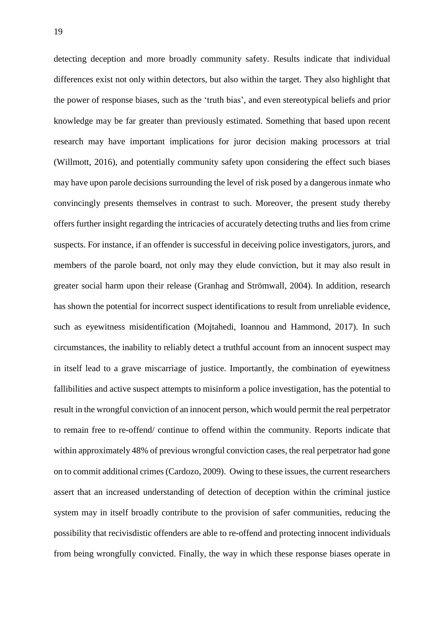detecting deception and more broadly community safety. Results indicate that individual differences exist not only within detectors, but also within the target. They also highlight that the power of response biases, such as the 'truth bias', and even stereotypical beliefs and prior knowledge may be far greater than previously estimated. Something that based upon recent research may have important implications for juror decision making processors at trial (Willmott, 2016), and potentially community safety upon considering the effect such biases may have upon parole decisions surrounding the level of risk posed by a dangerous inmate who convincingly presents themselves in contrast to such. Moreover, the present study thereby offers further insight regarding the intricacies of accurately detecting truths and lies from crime suspects. For instance, if an offender is successful in deceiving police investigators, jurors, and members of the parole board, not only may they elude conviction, but it may also result in greater social harm upon their release (Granhag and Strömwall, 2004). In addition, research has shown the potential for incorrect suspect identifications to result from unreliable evidence, such as eyewitness misidentification (Mojtahedi, Ioannou and Hammond, 2017). In such circumstances, the inability to reliably detect a truthful account from an innocent suspect may in itself lead to a grave miscarriage of justice. Importantly, the combination of eyewitness fallibilities and active suspect attempts to misinform a police investigation, has the potential to result in the wrongful conviction of an innocent person, which would permit the real perpetrator to remain free to re-offend/ continue to offend within the community. Reports indicate that within approximately 48% of previous wrongful conviction cases, the real perpetrator had gone on to commit additional crimes (Cardozo, 2009). Owing to these issues, the current researchers assert that an increased understanding of detection of deception within the criminal justice system may in itself broadly contribute to the provision of safer communities, reducing the possibility that recivisdistic offenders are able to re-offend and protecting innocent individuals from being wrongfully convicted. Finally, the way in which these response biases operate in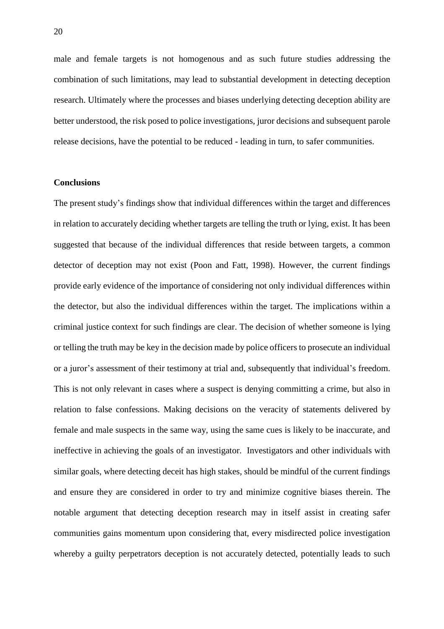male and female targets is not homogenous and as such future studies addressing the combination of such limitations, may lead to substantial development in detecting deception research. Ultimately where the processes and biases underlying detecting deception ability are better understood, the risk posed to police investigations, juror decisions and subsequent parole release decisions, have the potential to be reduced - leading in turn, to safer communities.

#### **Conclusions**

The present study's findings show that individual differences within the target and differences in relation to accurately deciding whether targets are telling the truth or lying, exist. It has been suggested that because of the individual differences that reside between targets, a common detector of deception may not exist (Poon and Fatt, 1998). However, the current findings provide early evidence of the importance of considering not only individual differences within the detector, but also the individual differences within the target. The implications within a criminal justice context for such findings are clear. The decision of whether someone is lying or telling the truth may be key in the decision made by police officers to prosecute an individual or a juror's assessment of their testimony at trial and, subsequently that individual's freedom. This is not only relevant in cases where a suspect is denying committing a crime, but also in relation to false confessions. Making decisions on the veracity of statements delivered by female and male suspects in the same way, using the same cues is likely to be inaccurate, and ineffective in achieving the goals of an investigator. Investigators and other individuals with similar goals, where detecting deceit has high stakes, should be mindful of the current findings and ensure they are considered in order to try and minimize cognitive biases therein. The notable argument that detecting deception research may in itself assist in creating safer communities gains momentum upon considering that, every misdirected police investigation whereby a guilty perpetrators deception is not accurately detected, potentially leads to such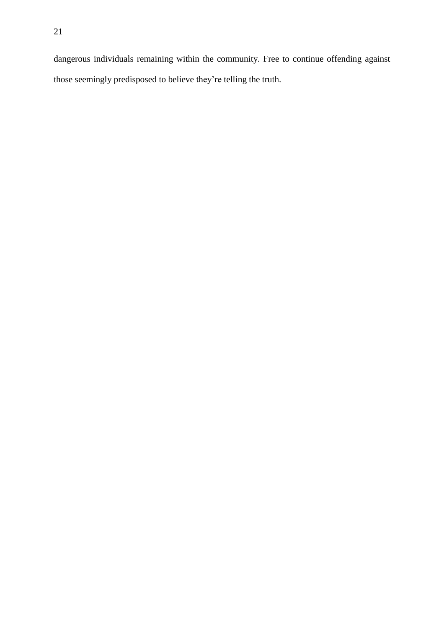dangerous individuals remaining within the community. Free to continue offending against those seemingly predisposed to believe they're telling the truth.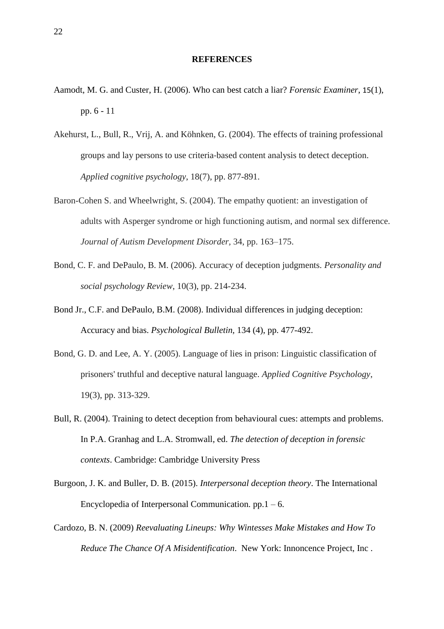#### **REFERENCES**

- Aamodt, M. G. and Custer, H. (2006). Who can best catch a liar? *Forensic Examiner*, 15(1), pp. 6 - 11
- Akehurst, L., Bull, R., Vrij, A. and Köhnken, G. (2004). The effects of training professional groups and lay persons to use criteria‐based content analysis to detect deception. *Applied cognitive psychology*, 18(7), pp. 877-891.
- Baron-Cohen S. and Wheelwright, S. (2004). The empathy quotient: an investigation of adults with Asperger syndrome or high functioning autism, and normal sex difference. *Journal of Autism Development Disorder,* 34, pp. 163–175.
- Bond, C. F. and DePaulo, B. M. (2006). Accuracy of deception judgments. *Personality and social psychology Review*, 10(3), pp. 214-234.
- Bond Jr., C.F. and DePaulo, B.M. (2008). Individual differences in judging deception: Accuracy and bias. *Psychological Bulletin,* 134 (4), pp. 477-492.
- Bond, G. D. and Lee, A. Y. (2005). Language of lies in prison: Linguistic classification of prisoners' truthful and deceptive natural language. *Applied Cognitive Psychology*, 19(3), pp. 313-329.
- Bull, R. (2004). Training to detect deception from behavioural cues: attempts and problems. In P.A. Granhag and L.A. Stromwall, ed. *The detection of deception in forensic contexts*. Cambridge: Cambridge University Press
- Burgoon, J. K. and Buller, D. B. (2015). *Interpersonal deception theory*. The International Encyclopedia of Interpersonal Communication.  $pp.1 - 6$ .
- Cardozo, B. N. (2009) *Reevaluating Lineups: Why Wintesses Make Mistakes and How To Reduce The Chance Of A Misidentification*. New York: Innoncence Project, Inc .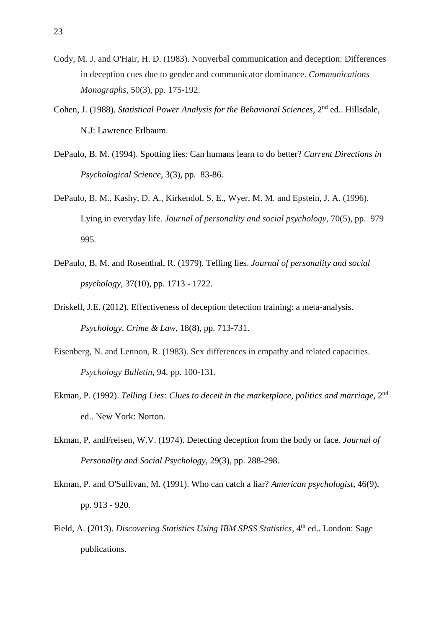- Cody, M. J. and O'Hair, H. D. (1983). Nonverbal communication and deception: Differences in deception cues due to gender and communicator dominance. *Communications Monographs*, 50(3), pp. 175-192.
- Cohen, J. (1988). *Statistical Power Analysis for the Behavioral Sciences,* 2 nd ed.. Hillsdale, N.J: Lawrence Erlbaum.
- DePaulo, B. M. (1994). Spotting lies: Can humans learn to do better? *Current Directions in Psychological Science*, 3(3), pp. 83-86.
- DePaulo, B. M., Kashy, D. A., Kirkendol, S. E., Wyer, M. M. and Epstein, J. A. (1996). Lying in everyday life. *Journal of personality and social psychology*, 70(5), pp. 979 995.
- DePaulo, B. M. and Rosenthal, R. (1979). Telling lies. *Journal of personality and social psychology*, 37(10), pp. 1713 - 1722.
- Driskell, J.E. (2012). Effectiveness of deception detection training: a meta-analysis. *Psychology, Crime & Law*, 18(8), pp. 713-731.
- Eisenberg, N. and Lennon, R. (1983). Sex differences in empathy and related capacities. *Psychology Bulletin,* 94, pp. 100-131.
- Ekman, P. (1992). *Telling Lies: Clues to deceit in the marketplace, politics and marriage*, 2 nd ed.. New York: Norton.
- Ekman, P. andFreisen, W.V. (1974). Detecting deception from the body or face. *Journal of Personality and Social Psychology,* 29(3), pp. 288-298.
- Ekman, P. and O'Sullivan, M. (1991). Who can catch a liar? *American psychologist*, 46(9), pp. 913 - 920.
- Field, A. (2013). *Discovering Statistics Using IBM SPSS Statistics*, 4<sup>th</sup> ed.. London: Sage publications.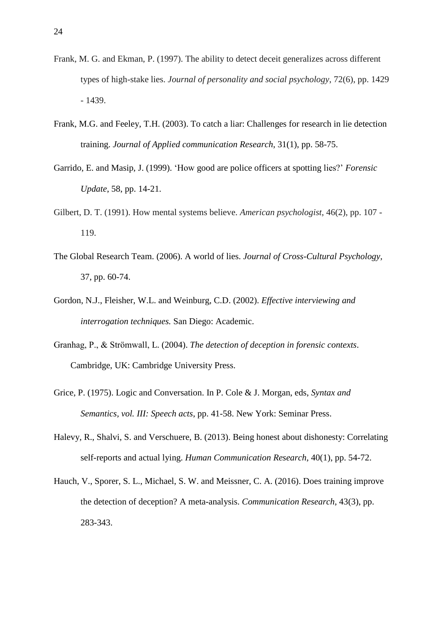- Frank, M. G. and Ekman, P. (1997). The ability to detect deceit generalizes across different types of high-stake lies. *Journal of personality and social psychology*, 72(6), pp. 1429 - 1439.
- Frank, M.G. and Feeley, T.H. (2003). To catch a liar: Challenges for research in lie detection training. *Journal of Applied communication Research*, 31(1), pp. 58-75.
- Garrido, E. and Masip, J. (1999). 'How good are police officers at spotting lies?' *Forensic Update*, 58, pp. 14-21.
- Gilbert, D. T. (1991). How mental systems believe. *American psychologist*, 46(2), pp. 107 119.
- The Global Research Team. (2006). A world of lies. *Journal of Cross-Cultural Psychology,* 37, pp. 60-74.
- Gordon, N.J., Fleisher, W.L. and Weinburg, C.D. (2002). *Effective interviewing and interrogation techniques.* San Diego: Academic.
- Granhag, P., & Strömwall, L. (2004). *The detection of deception in forensic contexts*. Cambridge, UK: Cambridge University Press.
- Grice, P. (1975). Logic and Conversation. In P. Cole & J. Morgan, eds, *Syntax and Semantics, vol. III: Speech acts*, pp. 41-58. New York: Seminar Press.
- Halevy, R., Shalvi, S. and Verschuere, B. (2013). Being honest about dishonesty: Correlating self-reports and actual lying. *Human Communication Research*, 40(1), pp. 54-72.
- Hauch, V., Sporer, S. L., Michael, S. W. and Meissner, C. A. (2016). Does training improve the detection of deception? A meta-analysis. *Communication Research*, 43(3), pp. 283-343.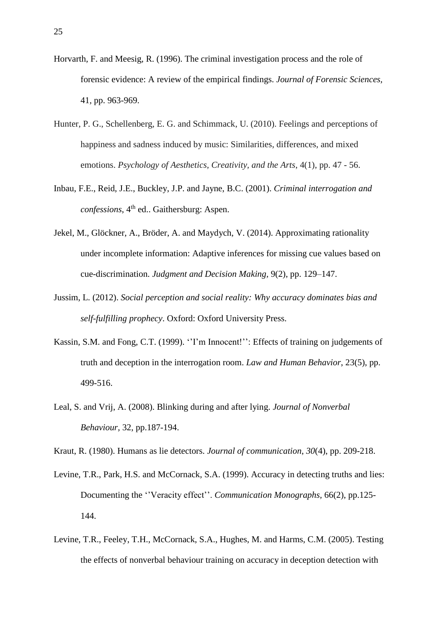- Horvarth, F. and Meesig, R. (1996). The criminal investigation process and the role of forensic evidence: A review of the empirical findings. *Journal of Forensic Sciences,* 41*,* pp. 963-969.
- Hunter, P. G., Schellenberg, E. G. and Schimmack, U. (2010). Feelings and perceptions of happiness and sadness induced by music: Similarities, differences, and mixed emotions. *Psychology of Aesthetics, Creativity, and the Arts*, 4(1), pp. 47 - 56.
- Inbau, F.E., Reid, J.E., Buckley, J.P. and Jayne, B.C. (2001). *Criminal interrogation and confessions*, 4 th ed.. Gaithersburg: Aspen.
- Jekel, M., Glöckner, A., Bröder, A. and Maydych, V. (2014). Approximating rationality under incomplete information: Adaptive inferences for missing cue values based on cue-discrimination. *Judgment and Decision Making,* 9(2), pp. 129–147.
- Jussim, L. (2012). *Social perception and social reality: Why accuracy dominates bias and self-fulfilling prophecy*. Oxford: Oxford University Press.
- Kassin, S.M. and Fong, C.T. (1999). ''I'm Innocent!'': Effects of training on judgements of truth and deception in the interrogation room. *Law and Human Behavior*, 23(5), pp. 499-516.
- Leal, S. and Vrij, A. (2008). Blinking during and after lying. *Journal of Nonverbal Behaviour,* 32, pp.187-194.

Kraut, R. (1980). Humans as lie detectors. *Journal of communication*, *30*(4), pp. 209-218.

- Levine, T.R., Park, H.S. and McCornack, S.A. (1999). Accuracy in detecting truths and lies: Documenting the ''Veracity effect''. *Communication Monographs,* 66(2), pp.125- 144.
- Levine, T.R., Feeley, T.H., McCornack, S.A., Hughes, M. and Harms, C.M. (2005). Testing the effects of nonverbal behaviour training on accuracy in deception detection with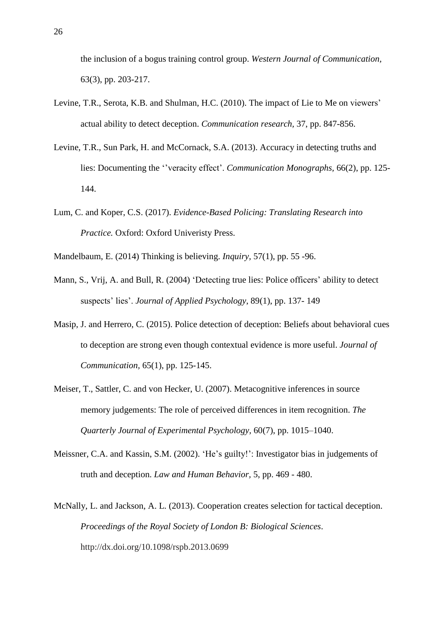the inclusion of a bogus training control group. *Western Journal of Communication,* 63(3), pp. 203-217.

- Levine, T.R., Serota, K.B. and Shulman, H.C. (2010). The impact of Lie to Me on viewers' actual ability to detect deception. *Communication research,* 37, pp. 847-856.
- Levine, T.R., Sun Park, H. and McCornack, S.A. (2013). Accuracy in detecting truths and lies: Documenting the ''veracity effect'. *Communication Monographs,* 66(2), pp. 125- 144.
- Lum, C. and Koper, C.S. (2017). *Evidence-Based Policing: Translating Research into Practice.* Oxford: Oxford Univeristy Press.
- Mandelbaum, E. (2014) Thinking is believing. *Inquiry,* 57(1), pp. 55 -96.
- Mann, S., Vrij, A. and Bull, R. (2004) 'Detecting true lies: Police officers' ability to detect suspects' lies'. *Journal of Applied Psychology*, 89(1), pp. 137- 149
- Masip, J. and Herrero, C. (2015). Police detection of deception: Beliefs about behavioral cues to deception are strong even though contextual evidence is more useful. *Journal of Communication,* 65(1), pp. 125-145.
- Meiser, T., Sattler, C. and von Hecker, U. (2007). Metacognitive inferences in source memory judgements: The role of perceived differences in item recognition. *The Quarterly Journal of Experimental Psychology,* 60(7), pp. 1015–1040.
- Meissner, C.A. and Kassin, S.M. (2002). 'He's guilty!': Investigator bias in judgements of truth and deception. *Law and Human Behavior,* 5, pp. 469 - 480.
- McNally, L. and Jackson, A. L. (2013). Cooperation creates selection for tactical deception. *Proceedings of the Royal Society of London B: Biological Sciences*. http://dx.doi.org/10.1098/rspb.2013.0699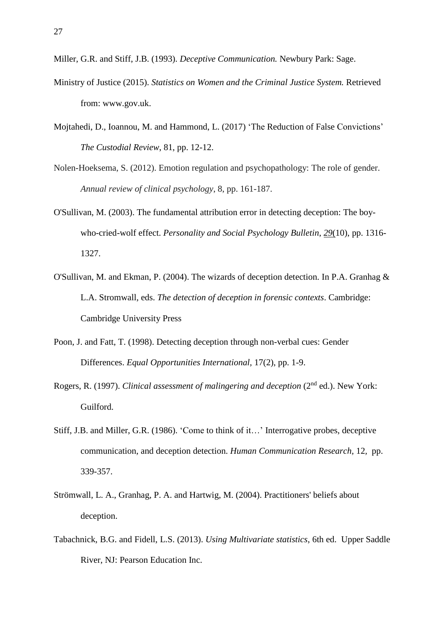- Miller, G.R. and Stiff, J.B. (1993). *Deceptive Communication.* Newbury Park: Sage.
- Ministry of Justice (2015). *Statistics on Women and the Criminal Justice System.* Retrieved from: [www.gov.uk.](http://www.gov.uk/)
- Mojtahedi, D., Ioannou, M. and Hammond, L. (2017) 'The Reduction of False Convictions' *The Custodial Review*, 81, pp. 12-12.
- Nolen-Hoeksema, S. (2012). Emotion regulation and psychopathology: The role of gender. *Annual review of clinical psychology*, 8, pp. 161-187.
- O'Sullivan, M. (2003). The fundamental attribution error in detecting deception: The boywho-cried-wolf effect. *Personality and Social Psychology Bulletin*, *29*(10), pp. 1316- 1327.
- O'Sullivan, M. and Ekman, P. (2004). The wizards of deception detection. In P.A. Granhag & L.A. Stromwall, eds. *The detection of deception in forensic contexts*. Cambridge: Cambridge University Press
- Poon, J. and Fatt, T. (1998). Detecting deception through non-verbal cues: Gender Differences. *Equal Opportunities International,* 17(2), pp. 1-9.
- Rogers, R. (1997). *Clinical assessment of malingering and deception* (2nd ed.). New York: Guilford.
- Stiff, J.B. and Miller, G.R. (1986). 'Come to think of it…' Interrogative probes, deceptive communication, and deception detection. *Human Communication Research,* 12*,* pp. 339-357.
- Strömwall, L. A., Granhag, P. A. and Hartwig, M. (2004). Practitioners' beliefs about deception.
- Tabachnick, B.G. and Fidell, L.S. (2013). *Using Multivariate statistics*, 6th ed. Upper Saddle River, NJ: Pearson Education Inc.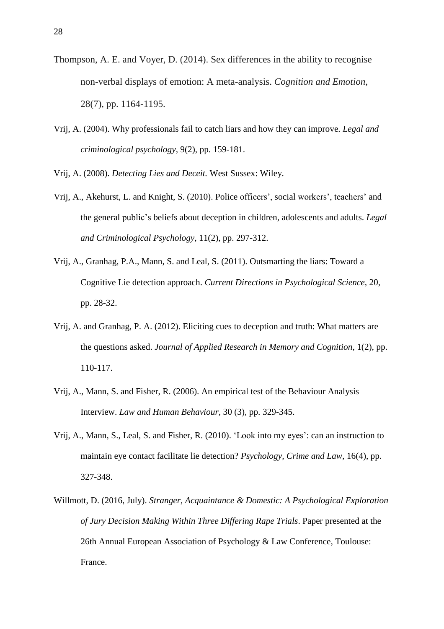- Thompson, A. E. and Voyer, D. (2014). Sex differences in the ability to recognise non-verbal displays of emotion: A meta-analysis. *Cognition and Emotion*, 28(7), pp. 1164-1195.
- Vrij, A. (2004). Why professionals fail to catch liars and how they can improve. *Legal and criminological psychology,* 9(2), pp. 159-181.

Vrij, A. (2008). *Detecting Lies and Deceit.* West Sussex: Wiley.

- Vrij, A., Akehurst, L. and Knight, S. (2010). Police officers', social workers', teachers' and the general public's beliefs about deception in children, adolescents and adults. *Legal and Criminological Psychology*, 11(2), pp. 297-312.
- Vrij, A., Granhag, P.A., Mann, S. and Leal, S. (2011). Outsmarting the liars: Toward a Cognitive Lie detection approach. *Current Directions in Psychological Science,* 20, pp. 28-32.
- Vrij, A. and Granhag, P. A. (2012). Eliciting cues to deception and truth: What matters are the questions asked. *Journal of Applied Research in Memory and Cognition*, 1(2), pp. 110-117.
- Vrij, A., Mann, S. and Fisher, R. (2006). An empirical test of the Behaviour Analysis Interview. *Law and Human Behaviour,* 30 (3)*,* pp. 329-345.
- Vrij, A., Mann, S., Leal, S. and Fisher, R. (2010). 'Look into my eyes': can an instruction to maintain eye contact facilitate lie detection? *Psychology, Crime and Law,* 16(4), pp. 327-348.
- Willmott, D. (2016, July). *Stranger, Acquaintance & Domestic: A Psychological Exploration of Jury Decision Making Within Three Differing Rape Trials*. Paper presented at the 26th Annual European Association of Psychology & Law Conference, Toulouse: France.